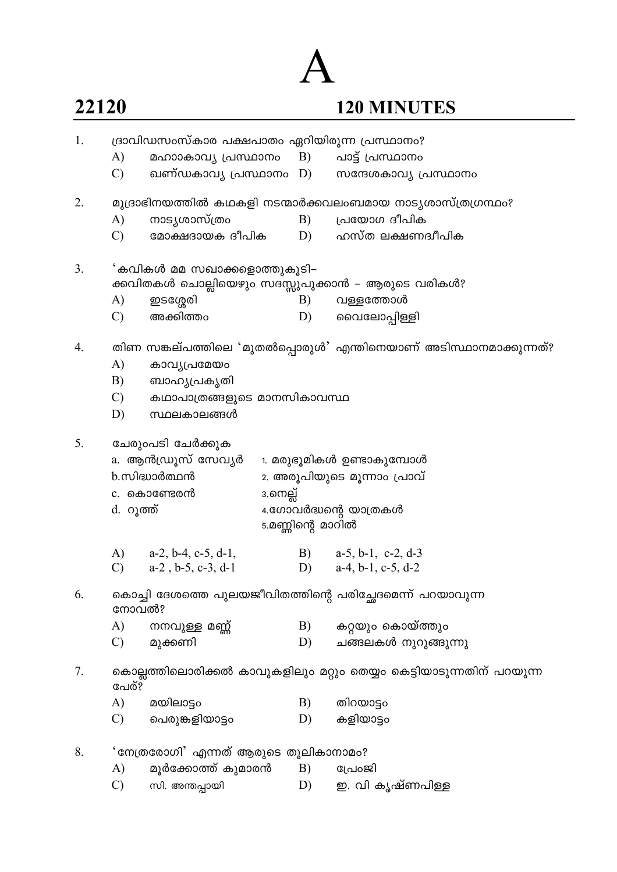## 22120

# $\overline{\mathcal{A}}$

## 120 MINUTES

| 1. |                                                                               | ദ്രാവിഡസംസ്കാര പക്ഷപാതം ഏറിയിരുന്ന പ്രസ്ഥാനം?                                    |                                            |    |                                                                  |  |  |  |
|----|-------------------------------------------------------------------------------|----------------------------------------------------------------------------------|--------------------------------------------|----|------------------------------------------------------------------|--|--|--|
|    | A)                                                                            | മഹാാകാവ്യ പ്രസ്ഥാനം B) പാട്ട് പ്രസ്ഥാനം                                          |                                            |    |                                                                  |  |  |  |
|    | $\mathcal{C}$                                                                 |                                                                                  |                                            |    | ഖണ്ഡകാവ്യ പ്രസ്ഥാനം D) സന്ദേശകാവ്യ പ്രസ്ഥാനം                     |  |  |  |
| 2. |                                                                               |                                                                                  |                                            |    | മുദ്രാഭിനയത്തിൽ കഥകളി നടന്മാർക്കവലംബമായ നാട്യശാസ്ത്രഗ്രന്ഥം?     |  |  |  |
|    | A)                                                                            | നാട്യശാസ്ത്രം                                                                    |                                            | B) | പ്രയോഗ ദീപിക                                                     |  |  |  |
|    | $\mathcal{C}$                                                                 |                                                                                  |                                            |    | മോക്ഷദായക ദീപിക $D)$ ഹസ്ത ലക്ഷണദ്വീപിക                           |  |  |  |
| 3. |                                                                               | 'കവികൾ മമ സഖാക്കളൊത്തുകൂടി–<br>ക്കവിതകൾ ചൊല്ലിയെഴും സദസ്സുപുക്കാൻ – ആരുടെ വരികൾ? |                                            |    |                                                                  |  |  |  |
|    | A)                                                                            | ഇടശ്ശേരി                                                                         |                                            | B) | വള്ളത്തോൾ                                                        |  |  |  |
|    | $\mathcal{C}$                                                                 | അക്കിത്തം                                                                        |                                            | D) | വൈലോപ്പിള്ളി                                                     |  |  |  |
| 4. |                                                                               |                                                                                  |                                            |    | തിണ സങ്കല്പത്തിലെ 'മുതൽപ്പൊരുൾ' എന്തിനെയാണ് അടിസ്ഥാനമാക്കുന്നത്? |  |  |  |
|    | A)                                                                            | കാവൃപ്രമേയം                                                                      |                                            |    |                                                                  |  |  |  |
|    | B)                                                                            | ബാഹ്യപ്രകൃതി                                                                     |                                            |    |                                                                  |  |  |  |
|    |                                                                               | $\mathcal{C}$ )<br>കഥാപാത്രങ്ങളുടെ മാനസികാവസ്ഥ                                   |                                            |    |                                                                  |  |  |  |
|    | D)                                                                            | സ്ഥലകാലങ്ങൾ                                                                      |                                            |    |                                                                  |  |  |  |
| 5. |                                                                               | ചേരുംപടി ചേർക്കുക                                                                |                                            |    |                                                                  |  |  |  |
|    | a. ആൻഡ്രൂസ് സേവ്യർ                                                            |                                                                                  |                                            |    | 1. മരുഭൂമികൾ ഉണ്ടാകുമ്പോൾ                                        |  |  |  |
|    | b. സിദ്ധാർത്ഥൻ                                                                |                                                                                  |                                            |    | 2. അരൂപിയുടെ മൂന്നാം പ്രാവ്                                      |  |  |  |
|    | c. കൊണ്ടേരൻ                                                                   |                                                                                  | 3.നെല്ല്                                   |    |                                                                  |  |  |  |
|    | d. റൂത്ത്                                                                     |                                                                                  | 4.ഗോവർദ്ധന്റെ യാത്രകൾ<br>5.മണ്ണിന്റെ മാറിൽ |    |                                                                  |  |  |  |
|    |                                                                               |                                                                                  |                                            |    |                                                                  |  |  |  |
|    |                                                                               | A) $a-2, b-4, c-5, d-1,$                                                         |                                            |    | B) $a-5$ , b-1, c-2, d-3                                         |  |  |  |
|    |                                                                               | C) $a-2$ , $b-5$ , $c-3$ , $d-1$                                                 |                                            |    | D) $a-4, b-1, c-5, d-2$                                          |  |  |  |
| 6. | കൊച്ചി ദേശത്തെ പുലയജീവിതത്തിന്റെ പരിച്ഛേദമെന്ന് പറയാവുന്ന<br>നോവൽ?            |                                                                                  |                                            |    |                                                                  |  |  |  |
|    | A)                                                                            | നനവുള്ള മണ്ണ്                                                                    |                                            | B) | കറ്റയും കൊയ്ത്തും                                                |  |  |  |
|    | $\mathcal{C}$                                                                 | മുക്കണി                                                                          |                                            | D) | ചങ്ങലകൾ നുറുങ്ങുന്നു                                             |  |  |  |
| 7. | കൊല്ലത്തിലൊരിക്കൽ കാവുകളിലും മറ്റും തെയ്യം കെട്ടിയാടുന്നതിന് പറയുന്ന<br>പേര്? |                                                                                  |                                            |    |                                                                  |  |  |  |
|    | A)                                                                            | മയിലാട്ടം                                                                        |                                            | B) | തിറയാട്ടം                                                        |  |  |  |
|    | $\mathcal{C}$                                                                 | പെരുങ്കളിയാട്ടം                                                                  |                                            | D) | കളിയാട്ടം                                                        |  |  |  |
| 8. |                                                                               | 'നേത്രരോഗി' എന്നത് ആരുടെ തൂലികാനാമം?                                             |                                            |    |                                                                  |  |  |  |
|    | A)                                                                            | മൂർക്കോത്ത് കുമാരൻ                                                               |                                            | B) | പ്രോജി                                                           |  |  |  |
|    | $\mathcal{C}$                                                                 | സി. അന്തപ്പായി                                                                   |                                            | D) | ഇ. വി കൃഷ്ണപിള്ള                                                 |  |  |  |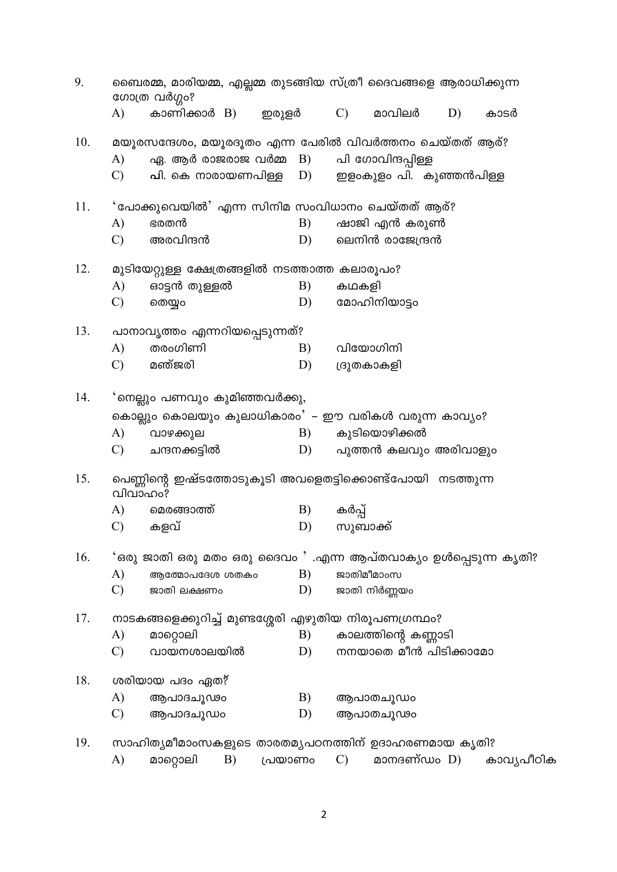| ബൈരമ്മ, മാരിയമ്മ, എല്ലമ്മ തുടങ്ങിയ സ്ത്രീ ദൈവങ്ങളെ ആരാധിക്കുന്ന<br>9.<br>ഗോത്ര വർഗ്ഗം? |                                                                      |                                                                    |          |                                                                                                         |      |  |
|----------------------------------------------------------------------------------------|----------------------------------------------------------------------|--------------------------------------------------------------------|----------|---------------------------------------------------------------------------------------------------------|------|--|
|                                                                                        | A)                                                                   | കാണിക്കാർ B)                                                       | ഇരുളർ    | $\mathcal{C}$ )<br>മാവിലർ<br>D)                                                                         | കാടർ |  |
| 10.                                                                                    | A)<br>$\mathcal{C}$                                                  | ഏ. ആർ രാജരാജ വർമ്മ  B)<br><b>പി</b> . കെ നാരായണപിള്ള    D)         |          | മയൂരസന്ദേശം, മയൂരദൂതം എന്ന പേരിൽ വിവർത്തനം ചെയ്തത് ആര്?<br>പി ഗോവിന്ദപ്പിള്ള<br>ഇളംകുളം പി. കുഞ്ഞൻപിള്ള |      |  |
| 11.                                                                                    | A)<br>$\mathcal{C}$                                                  | 'പോക്കുവെയിൽ' എന്ന സിനിമ സംവിധാനം ചെയ്തത് ആര്?<br>ഭരതൻ<br>അരവിന്ദൻ | B)<br>D) | ഷാജി എൻ കരുൺ<br>ലെനിൻ രാജേന്ദ്രൻ                                                                        |      |  |
| 12.                                                                                    | A)                                                                   | മുടിയേറ്റുള്ള ക്ഷേത്രങ്ങളിൽ നടത്താത്ത കലാരൂപം?<br>ഓട്ടൻ തുള്ളൽ     | B)       | കഥകളി                                                                                                   |      |  |
|                                                                                        | $\mathcal{C}$                                                        | തെയ്യം                                                             | D)       | മോഹിനിയാട്ടം                                                                                            |      |  |
| 13.                                                                                    |                                                                      | പാനാവൃത്തം എന്നറിയപ്പെടുന്നത്?                                     |          |                                                                                                         |      |  |
|                                                                                        | A)                                                                   | തരംഗിണി<br>മഞ്ജരി                                                  | B)       | വിയോഗിനി                                                                                                |      |  |
|                                                                                        | $\mathcal{C}$                                                        |                                                                    | D)       | ദ്രുതകാകളി                                                                                              |      |  |
| 14.                                                                                    |                                                                      | 'നെല്ലും പണവും കുമിഞ്ഞവർക്കു,                                      |          |                                                                                                         |      |  |
|                                                                                        |                                                                      |                                                                    |          | കൊല്ലും കൊലയും കുലാധികാരം' – ഈ വരികൾ വരുന്ന കാവ്യം?                                                     |      |  |
|                                                                                        | A)                                                                   | വാഴക്കുല                                                           | B)       | കുടിയൊഴിക്കൽ                                                                                            |      |  |
|                                                                                        | C)                                                                   | ചന്ദനക്കട്ടിൽ                                                      | D)       | പുത്തൻ കലവും അരിവാളും                                                                                   |      |  |
| 15.                                                                                    | പെണ്ണിന്റെ ഇഷ്ടത്തോടുകൂടി അവളെതട്ടിക്കൊണ്ട്പോയി നടത്തുന്ന<br>വിവാഹം? |                                                                    |          |                                                                                                         |      |  |
|                                                                                        | A)                                                                   | മെരങ്ങാത്ത്                                                        | B)       | കർപ്പ്                                                                                                  |      |  |
|                                                                                        | $\mathcal{C}$                                                        | കളവ്                                                               | D)       | സുബാക്ക്                                                                                                |      |  |
| 16.                                                                                    |                                                                      |                                                                    |          | 'ഒരു ജാതി ഒരു മതം ഒരു ദൈവം ' .എന്ന ആപ്തവാക്യം ഉൾപ്പെടുന്ന കൃതി?                                         |      |  |
|                                                                                        | A)                                                                   | ആത്മോപദേശ ശതകം                                                     | B)       | ജാതിമീമാംസ                                                                                              |      |  |
|                                                                                        | $\mathcal{C}$                                                        | ജാതി ലക്ഷണം                                                        | D)       | ജാതി നിർണ്ണയം                                                                                           |      |  |
| 17.                                                                                    | നാടകങ്ങളെക്കുറിച്ച് മുണ്ടശ്ശേരി എഴുതിയ നിരൂപണഗ്രന്ഥം?                |                                                                    |          |                                                                                                         |      |  |
|                                                                                        | A)                                                                   | മാറ്റൊലി                                                           | B)       | കാലത്തിന്റെ കണ്ണാടി                                                                                     |      |  |
|                                                                                        | $\mathcal{C}$                                                        | വായനശാലയിൽ                                                         | D)       | നനയാതെ മീൻ പിടിക്കാമോ                                                                                   |      |  |
| 18.                                                                                    |                                                                      | ശരിയായ പദം ഏത?                                                     |          |                                                                                                         |      |  |
|                                                                                        | A)                                                                   | ആപാദചൂഢം                                                           | B)       | ആപാതചൂഡം                                                                                                |      |  |
|                                                                                        | $\mathcal{C}$                                                        | ആപാദചൂഡം                                                           | D)       | ആപാതചൂഢം                                                                                                |      |  |
| 19.                                                                                    |                                                                      |                                                                    |          | സാഹിത്യമീമാംസകളുടെ താരതമ്യപഠനത്തിന് ഉദാഹരണമായ കൃതി?                                                     |      |  |

മാറ്റൊലി  $\mathcal{C}$ ) \_<br>മാനദണ്ഡം D) കാവൃപീഠിക  $A)$  $\overline{B}$ ) പ്രയാണം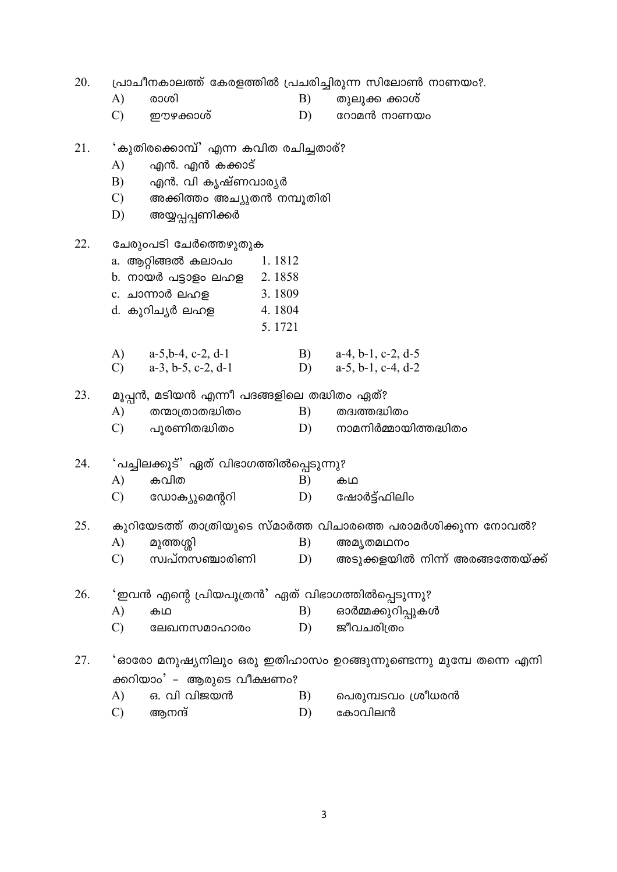20. പ്രാചീനകാലത്ത് കേരളത്തിൽ പ്രചരിച്ചിരുന്ന സിലോൺ നാണയം?. രാശി  $\mathbf{A}$  $B)$ തുലൂക്ക ക്കാശ്  $\mathcal{C}$ ഈഴക്കാശ് D) റോമൻ നാണയം 21. 'കുതിരക്കൊമ്പ്' എന്ന കവിത രചിച്ചതാര്? എൻ. എൻ കക്കാട്  $\mathbf{A}$  $B)$ എൻ. വി കൃഷ്ണവാര്യർ അക്കിത്തം അച്യുതൻ നമ്പുതിരി  $\mathcal{C}$ അയ്യപ്പപ്പണിക്കർ D) 22. ചേരുംപടി ചേർത്തെഴുതുക a. ആറ്റിങ്ങൽ കലാപ<del>ം</del> 1.1812 b. നായർ പട്ടാളം ലഹള 2.1858 c. ചാന്നാർ ലഹള 3.1809 d. കുറിചൃർ ലഹള 4.1804 5.1721  $a-5, b-4, c-2, d-1$  $\bf{A}$ B)  $a-4$ ,  $b-1$ ,  $c-2$ ,  $d-5$  $a-3$ ,  $b-5$ ,  $c-2$ ,  $d-1$  $a-5$ ,  $b-1$ ,  $c-4$ ,  $d-2$  $\mathcal{C}$ D) 23. മൂപ്പൻ, മടിയൻ എന്നീ പദങ്ങളിലെ തദ്ധിതം ഏത്?  $A)$ തന്മാത്രാതദ്ധിതം  $B)$ തദ്വത്തദ്ധിതം  $\mathcal{C}$ പൂരണിതദ്ധിതം  $D)$ നാമനിർമ്മായിത്തദ്ധിതം 'പച്ചിലക്കൂട്' ഏത് വിഭാഗത്തിൽപ്പെടുന്നു? 24. കവിത  $\mathbf{A}$  $B)$ கம  $\mathcal{C}$ ഡോക്യുമെന്ററി D) ഷോർട്ട്ഫിലിം 25. കുറിയേടത്ത് താത്രിയുടെ സ്മാർത്ത വിചാരത്തെ പരാമർശിക്കുന്ന നോവൽ? A) B) മുത്തശ്ശി അമ്യതമഥനം സ്വപ്നസഞ്ചാരിണി  $\mathcal{C}$ D) അടുക്കളയിൽ നിന്ന് അരങ്ങത്തേയ്ക്ക് 26. 'ഇവൻ എന്റെ പ്രിയപുത്രൻ' ഏത് വിഭാഗത്തിൽപ്പെടുന്നു?  $A)$  $B)$ ഓർമ്മക്കുറിപ്പുകൾ കഥ  $\mathcal{C}$  $D)$ ജീവചരിത്രം ലേഖനസമാഹാരം 27. 'ഓരോ മനുഷ്യനിലും ഒരു ഇതിഹാസം ഉറങ്ങുന്നുണ്ടെന്നു മുമ്പേ തന്നെ എനി ക്കറിയാം' – ആരുടെ വീക്ഷണം?  $A)$ ഒ. വി വിജയൻ  $B)$ പെരുമ്പടവം ശ്രീധരൻ  $\mathcal{C}$ D) ആനന്ദ് കോവിലൻ

 $\overline{3}$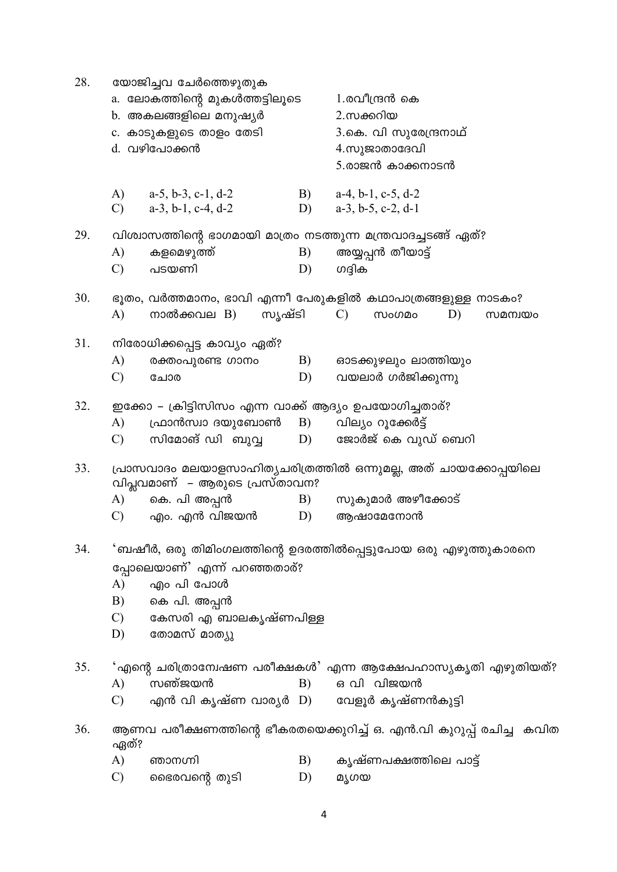| 28. | യോജിച്ചവ ചേർത്തെഴുതുക<br>a. ലോകത്തിന്റെ മുകൾത്തട്ടിലൂടെ<br>b. അകലങ്ങളിലെ മനുഷ്യർ<br>c. കാടുകളുടെ താളം തേടി<br>d. വഴിപോക്കൻ |                                                                                                    |                  | 1.രവീന്ദ്രൻ കെ<br>2.സക്കറിയ<br>3.കെ. വി സുരേന്ദ്രനാഥ്<br>4.സുജാതാദേവി<br>5.രാജൻ കാക്കനാടൻ                                    |  |  |  |
|-----|----------------------------------------------------------------------------------------------------------------------------|----------------------------------------------------------------------------------------------------|------------------|------------------------------------------------------------------------------------------------------------------------------|--|--|--|
|     | $\mathcal{C}$                                                                                                              | A) $a-5$ , b-3, c-1, d-2<br>$a-3$ , $b-1$ , $c-4$ , $d-2$                                          | B)<br>D)         | $a-4$ , $b-1$ , $c-5$ , $d-2$<br>$a-3$ , $b-5$ , $c-2$ , $d-1$                                                               |  |  |  |
| 29. | A)<br>$\mathcal{C}$                                                                                                        | വിശ്വാസത്തിന്റെ ഭാഗമായി മാത്രം നടത്തുന്ന മന്ത്രവാദച്ചടങ്ങ് ഏത്?<br>കളമെഴുത്ത്<br>B)<br>പടയണി<br>D) |                  | അയ്യപ്പൻ തീയാട്ട്<br>ഗദ്ദിക                                                                                                  |  |  |  |
| 30. | A)                                                                                                                         | നാൽക്കവല $B$ )<br>സൃഷ്ടി                                                                           |                  | ഭൂതം, വർത്തമാനം, ഭാവി എന്നീ പേരുകളിൽ കഥാപാത്രങ്ങളുള്ള നാടകം?<br>$\mathcal{C}$<br>D)<br><b><i><u>MoODo</u></i></b><br>സമന്വയം |  |  |  |
| 31. | A)<br>$\mathcal{C}$                                                                                                        | നിരോധിക്കപ്പെട്ട കാവ്യം ഏത്?<br>B)<br>രക്തംപുരണ്ട ഗാനം<br>D)<br>ചോര                                |                  | ഓടക്കുഴലും ലാത്തിയും<br>വയലാർ ഗർജിക്കുന്നു                                                                                   |  |  |  |
| 32. | A)<br>$\mathcal{C}$                                                                                                        | ഇക്കോ – ക്രിട്ടിസിസം എന്ന വാക്ക് ആദ്യം ഉപയോഗിച്ചതാര്?<br>ഫ്രാൻസ്വാ ദയുബോൺ<br>സിമോങ് ഡി ബുവ്വ       | <b>B</b> )<br>D) | വില്യം റൂക്കേർട്ട്<br>ജോർജ് കെ വുഡ് ബെറി                                                                                     |  |  |  |
| 33. | പ്രാസവാദം മലയാളസാഹിത്യചരിത്രത്തിൽ ഒന്നുമല്ല, അത് ചായക്കോപ്പയിലെ<br>വിപ്ലവമാണ് – ആരുടെ പ്രസ്താവന?                           |                                                                                                    |                  |                                                                                                                              |  |  |  |
|     | A)<br>C)                                                                                                                   | കെ. പി അപ്പൻ<br>എം. എൻ വിജയൻ                                                                       | B)<br>D)         | സുകുമാർ അഴീക്കോട്<br>ആഷാമേനോൻ                                                                                                |  |  |  |
| 34. | A)<br>B)<br>$\mathcal{C}$ )<br>D)                                                                                          | പ്പോലെയാണ്' എന്ന് പറഞ്ഞതാര്?<br>എം പി പോൾ<br>കെ പി. അപ്പൻ<br>കേസരി എ ബാലകൃഷ്ണപിള്ള<br>തോമസ് മാത്യു |                  | 'ബഷീർ, ഒരു തിമിംഗലത്തിന്റെ ഉദരത്തിൽപ്പെട്ടുപോയ ഒരു എഴുത്തുകാരനെ                                                              |  |  |  |
| 35. | A)<br>$\mathcal{C}$                                                                                                        | സഞ്ജയൻ<br>എൻ വി കൃഷ്ണ വാര്യർ D) വേളൂർ കൃഷ്ണൻകുട്ടി                                                 | B)               | 'എന്റെ ചരിത്രാന്വേഷണ പരീക്ഷകൾ' എന്ന ആക്ഷേപഹാസ്യകൃതി എഴുതിയത്?<br>ഒ വി വിജയൻ                                                  |  |  |  |
| 36. |                                                                                                                            |                                                                                                    |                  | ആണവ പരീക്ഷണത്തിന്റെ ഭീകരതയെക്കുറിച്ച് ഒ. എൻ.വി കുറുപ്പ് രചിച്ച  കവിത                                                         |  |  |  |
|     | ഏത്?<br>A)<br>$\mathcal{C}$                                                                                                | ഞാനഗ്നി<br>ഭൈരവന്റെ തുടി                                                                           | B)<br>D)         | കൃഷ്ണപക്ഷത്തിലെ പാട്ട്<br>മൃഗയ                                                                                               |  |  |  |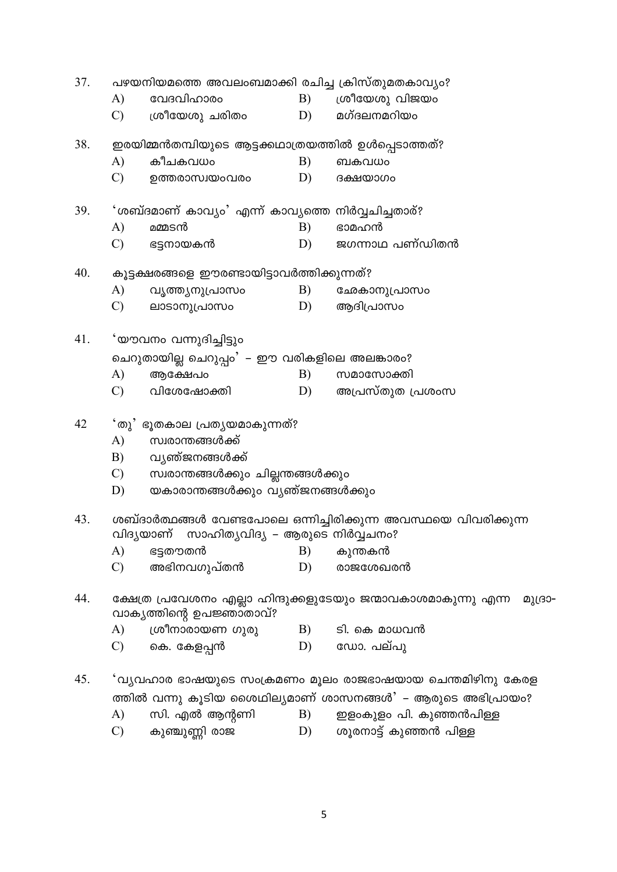| 37. | പഴയനിയമത്തെ അവലംബമാക്കി രചിച്ച ക്രിസ്തുമതകാവ്യം?                                                      |                                                     |    |                                                             |  |  |  |  |  |
|-----|-------------------------------------------------------------------------------------------------------|-----------------------------------------------------|----|-------------------------------------------------------------|--|--|--|--|--|
|     | A)                                                                                                    | വേദവിഹാരം                                           | B) | ശ്രീയേശു വിജയം                                              |  |  |  |  |  |
|     | $\mathcal{C}$                                                                                         | ശ്രീയേശു ചരിതം                                      | D) | മഗ്ദലനമറിയം                                                 |  |  |  |  |  |
| 38. |                                                                                                       | ഇരയിമ്മൻതമ്പിയുടെ ആട്ടക്കഥാത്രയത്തിൽ ഉൾപ്പെടാത്തത്? |    |                                                             |  |  |  |  |  |
|     | A)                                                                                                    | കീചകവധം                                             | B) | ബകവധം                                                       |  |  |  |  |  |
|     | $\mathcal{C}$                                                                                         | ഉത്തരാസ്വയംവരം                                      | D) | ദക്ഷയാഗം                                                    |  |  |  |  |  |
| 39. |                                                                                                       | ്ശബ്ദമാണ് കാവ്യം' എന്ന് കാവ്യത്തെ നിർവ്വചിച്ചതാര്?  |    |                                                             |  |  |  |  |  |
|     | A)                                                                                                    | മമ്മടൻ                                              | B) | ഭാമഹൻ                                                       |  |  |  |  |  |
|     | $\mathcal{C}$                                                                                         | ഭട്ടനായകൻ                                           | D) | ജഗന്നാഥ പണ്ഡിതൻ                                             |  |  |  |  |  |
| 40. |                                                                                                       | കൂട്ടക്ഷരങ്ങളെ ഈരണ്ടായിട്ടാവർത്തിക്കുന്നത്?         |    |                                                             |  |  |  |  |  |
|     | A)                                                                                                    | വൃത്ത്യനുപ്രാസം                                     | B) | ഛേകാനുപ്രാസം                                                |  |  |  |  |  |
|     | $\mathcal{C}$                                                                                         | ലാടാനുപ്രാസം                                        | D) | ആദിപ്രാസം                                                   |  |  |  |  |  |
| 41. |                                                                                                       | 'യൗവനം വന്നുദിച്ചിട്ടും                             |    |                                                             |  |  |  |  |  |
|     |                                                                                                       | ചെറുതായില്ല ചെറുപ്പം' – ഈ വരികളിലെ അലങ്കാരം?        |    |                                                             |  |  |  |  |  |
|     | A)                                                                                                    | ആക്ഷേപo                                             | B) | സമാസോക്തി                                                   |  |  |  |  |  |
|     | $\mathcal{C}$                                                                                         | വിശേഷോക്തി                                          | D) | അപ്രസ്തുത പ്രശംസ                                            |  |  |  |  |  |
| 42  | ്തു' ഭൂതകാല പ്രതൃയമാകുന്നത്?                                                                          |                                                     |    |                                                             |  |  |  |  |  |
|     | A)                                                                                                    | സ്വരാന്തങ്ങൾക്ക്                                    |    |                                                             |  |  |  |  |  |
|     | B)                                                                                                    | വ്യഞ്ജനങ്ങൾക്ക്                                     |    |                                                             |  |  |  |  |  |
|     | $\mathcal{C}$ )                                                                                       | സ്വരാന്തങ്ങൾക്കും ചില്ലന്തങ്ങൾക്കും                 |    |                                                             |  |  |  |  |  |
|     | D)                                                                                                    | യകാരാന്തങ്ങൾക്കും വ്യഞ്ജനങ്ങൾക്കും                  |    |                                                             |  |  |  |  |  |
| 43. | ശബ്ദാർത്ഥങ്ങൾ വേണ്ടപോലെ ഒന്നിച്ചിരിക്കുന്ന അവസ്ഥയെ വിവരിക്കുന്ന                                       |                                                     |    |                                                             |  |  |  |  |  |
|     |                                                                                                       | വിദ്യയാണ് സാഹിത്യവിദ്യ – ആരുടെ നിർവ്വചനം?           |    |                                                             |  |  |  |  |  |
|     | A)                                                                                                    | ഭട്ടതൗതൻ                                            | B) | കുന്തകൻ                                                     |  |  |  |  |  |
|     | $\mathcal{C}$                                                                                         | അഭിനവഗുപ്തൻ                                         | D) | രാജശേഖരൻ                                                    |  |  |  |  |  |
| 44. | ക്ഷേത്ര പ്രവേശനം എല്ലാ ഹിന്ദുക്കളുടേയും ജന്മാവകാശമാകുന്നു എന്ന<br>മുദ്രാ-<br>വാകൃത്തിന്റെ ഉപജ്ഞാതാവ്? |                                                     |    |                                                             |  |  |  |  |  |
|     | A)                                                                                                    | ശ്രീനാരായണ ഗുരു                                     | B) | ടി. കെ മാധവൻ                                                |  |  |  |  |  |
|     | $\mathcal{C}$                                                                                         | കെ. കേളപ്പൻ                                         | D) | ഡോ. പല്പു                                                   |  |  |  |  |  |
| 45. |                                                                                                       |                                                     |    | 'വ്യവഹാര ഭാഷയുടെ സംക്രമണം മൂലം രാജഭാഷയായ ചെന്തമിഴിനു കേരള   |  |  |  |  |  |
|     |                                                                                                       |                                                     |    | ത്തിൽ വന്നു കൂടിയ ശൈഥില്യമാണ് ശാസനങ്ങൾ' – ആരുടെ അഭിപ്രായം?  |  |  |  |  |  |
|     | A)                                                                                                    | സി. എൽ ആന്റണി                                       |    | $B$ ) ഈ ഇരകുളം പി. കുഞ്ഞൻപിള്ള<br>$\mathbf{D}$ $\mathbf{D}$ |  |  |  |  |  |

 $\mathbf{C})$  കുഞ്ചുണ്ണി രാജ D) ശൂരനാട്ട് കുഞ്ഞൻ പിള്ള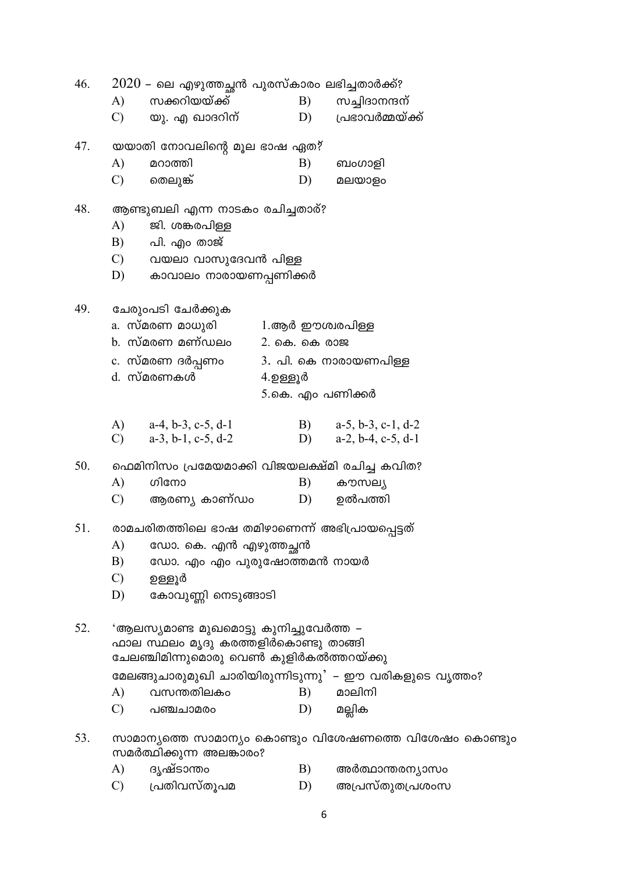$2020$  – ലെ എഴുത്തച്ചൻ പുരസ്കാരം ലഭിച്ചതാർക്ക്? 46. സക്കറിയയ്ക്ക്  $\bf{A}$  $B)$ സച്ചിദാനന്ദന്  $\mathcal{C}$ D) പ്രഭാവർമ്മയ്ക്ക് യു. എ ഖാദറിന് 47. യയാതി നോവലിന്റെ മൂല ഭാഷ ഏത?  $A)$ മറാത്തി B) ബംഗാളി  $\mathcal{C}$ തെലുങ്ക് D) മലയാളം 48. ആണ്ടുബലി എന്ന നാടകം രചിച്ചതാര്? ജി. ശങ്കരപിള്ള A)  $B)$ പി. എം താജ്  $\mathcal{C}$ വയലാ വാസുദേവൻ പിള്ള D) കാവാലം നാരായണപ്പണിക്കർ 49. ചേരുംപടി ചേർക്കുക a. സ്മരണ മാധൂരി 1.ആർ ഈശ്വരപിള്ള b. സ്മരണ മണ്ഡലം 2. കെ. കെ രാജ c. സ്മരണ ദർപ്പണം 3. പി. കെ നാരായണപിള്ള d. സ്മരണകൾ  $4.$ ഉള്ളൂർ 5.കെ. എം പണിക്കർ  $A)$  $a-4, b-3, c-5, d-1$  $B)$  $a-5$ ,  $b-3$ ,  $c-1$ ,  $d-2$  $\mathcal{C}$  $a-3$ ,  $b-1$ ,  $c-5$ ,  $d-2$  $D)$  $a-2$ ,  $b-4$ ,  $c-5$ ,  $d-1$ 50. ഫെമിനിസം പ്രമേയമാക്കി വിജയലക്ഷ്മി രചിച്ച കവിത?  $A)$ ഗിനോ  $B)$ കൗസല്യ  $\mathcal{C}$ ഉൽപത്തി ആരണ്യ കാണ്ഡം D)  $51$ രാമചരിതത്തിലെ ഭാഷ തമിഴാണെന്ന് അഭിപ്രായപ്പെട്ടത്  $\mathbf{A}$ ഡോ. കെ. എൻ എഴുത്തച്ഛൻ  $B)$ ഡോ. എം എം പുരുഷോത്തമൻ നായർ  $\mathcal{C}$ ഉള്ളൂർ D) കോവുണ്ണി നെടുങ്ങാടി 52. 'ആലസ്യമാണ്ട മുഖമൊട്ടു കുനിച്ചുവേർത്ത – ഫാല സ്ഥലം മൃദു കരത്തളിർകൊണ്ടു താങ്ങി ചേലഞ്ചിമിന്നുമൊരു വെൺ കുളിർകൽത്തറയ്ക്കു മേലങ്ങുചാരുമുഖി ചാരിയിരുന്നിടുന്നു' – ഈ വരികളുടെ വൃത്തം?  $\mathbf{A}$  $B)$ മാലിനി വസന്തതിലകം  $\mathcal{C}$  $D)$ പഞ്ചചാമരം മല്ലിക 53. സാമാന്യത്തെ സാമാന്യം കൊണ്ടും വിശേഷണത്തെ വിശേഷം കൊണ്ടും സമർത്ഥിക്കുന്ന അലങ്കാരം? ദൃഷ്ടാന്താ  $\bf{A}$ B) അർത്ഥാന്തരന്യാസം

പ്രതിവസ്തൂപമ  $\mathcal{C}$ D) അപ്രസ്തുതപ്രശംസ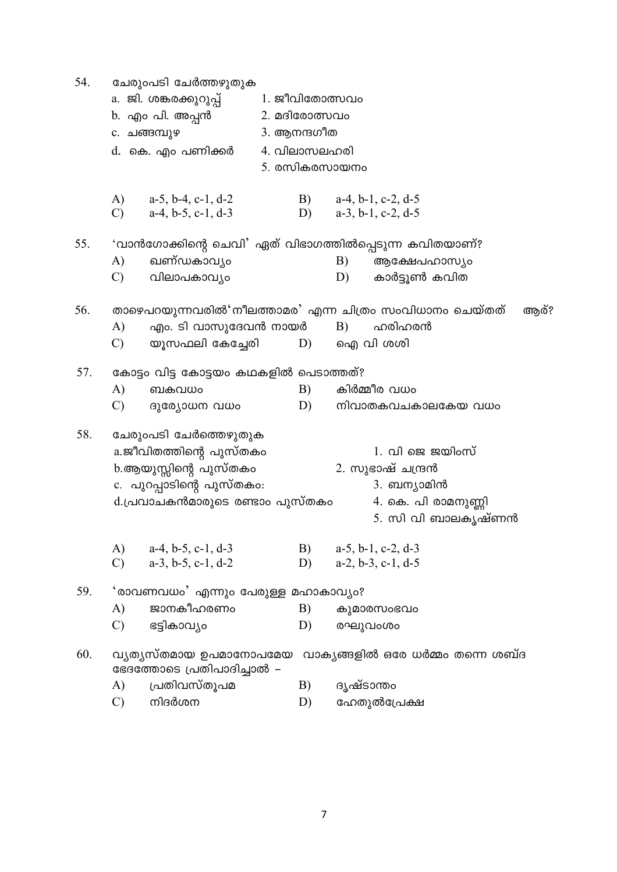54. ചേരുംപടി ചേർത്തഴുതുക a. ജി. ശങ്കരക്കുറുപ് 1. ജീവിതോത്സവം b. എം പി. അപ്പൻ 2. മദിരോത്സവം c. ചങ്ങമ്പുഴ 3. ആനന്ദഗീത 4. വിലാസലഹരി d. കെ. എം പണിക്കർ 5. രസികരസായനം  $\bf{A}$  $a-5$ ,  $b-4$ ,  $c-1$ ,  $d-2$  $B)$  $a-4, b-1, c-2, d-5$  $\mathcal{C}$  $a-4, b-5, c-1, d-3$ D)  $a-3$ ,  $b-1$ ,  $c-2$ ,  $d-5$ 55. 'വാൻഗോക്കിന്റെ ചെവി' ഏത് വിഭാഗത്തിൽപ്പെടുന്ന കവിതയാണ്? ഖണ്ഡകാവ്യം ആക്ഷേപഹാസ്യം A) B)  $\mathcal{C}$ വിലാപകാവ്യം D) കാർട്ടുൺ കവിത താഴെപറയുന്നവരിൽ'നീലത്താമര' എന്ന ചിത്രം സംവിധാനം ചെയ്തത് 56. ആര്?  $\bf{A}$ എം. ടി വാസുദേവൻ നായർ  $B)$ ഹരിഹരൻ ഐ വി ശശി യൂസഫലി കേച്ചേരി  $\mathcal{C}$ D) 57. കോട്ടം വിട്ട കോട്ടയം കഥകളിൽ പെടാത്തത്?  $\bf{A}$ ബകവധം  $B)$ കിർമ്മീര വധം  $\mathcal{C}$ D) നിവാതകവചകാലകേയ വധം ദുര്യോധന വധം 58. ചേരുംപടി ചേർത്തെഴുതുക  $1.$  വി ജെ ജയിംസ് a.ജീവിതത്തിന്റെ പുസ്തക<del>ം</del> b.ആയുസ്സിന്റെ പുസ്തക<del>ം</del> 2. സുഭാഷ് ചന്ദ്രൻ c. പുറപ്പാടിന്റെ പുസ്തക<del>്ക</del>ം: 3. ബന്യാമിൻ d.പ്രവാചകൻമാരുടെ രണ്ടാം പുസ്തകം 4. കെ. പി രാമനുണ്ണി 5. സി വി ബാലകൃഷ്ണൻ  $\bf{A}$  $a-4$ ,  $b-5$ ,  $c-1$ ,  $d-3$  $a-5$ ,  $b-1$ ,  $c-2$ ,  $d-3$ B)  $\mathcal{C}$  $a-3$ ,  $b-5$ ,  $c-1$ ,  $d-2$  $D)$  $a-2, b-3, c-1, d-5$ 59. 'രാവണവധം' എന്നും പേരുള്ള മഹാകാവ്യം? ജാനകീഹരണം  $\bf{A}$  $B)$ കുമാരസംഭവം  $\mathcal{C}$ ഭട്ടികാവ്യം  $D)$ രഘുവംശം 60. വ്യത്യസ്തമായ ഉപമാനോപമേയ വാക്യങ്ങളിൽ ഒരേ ധർമ്മം തന്നെ ശബ്ദ ഭേദത്തോടെ പ്രതിപാദിച്ചാൽ – പ്രതിവസ്തുപമ ദൃഷ്ടാന്തം A) B)  $\mathcal{C}$ നിദർശന  $D)$ ഹേതുൽപ്രേക്ഷ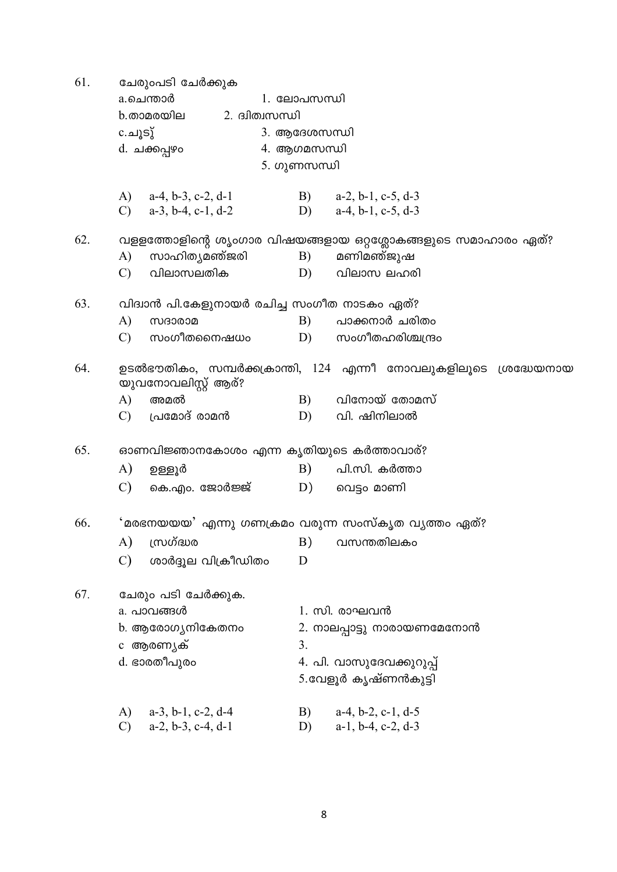$61$   $8.00005$   $6.0000$ 

| 01. | ചേരുറപട∟ ചേരക്കുക<br>a.ചെന്താർ<br>2. ദ്വിത്വസന്ധി<br>b.താമരയില<br>c.ചൂടു്<br>d. ചക്കപ്പഴ <del>ം</del>          | 1. ലോപസന്ധി<br>3. ആദേശസന്ധി<br>4. ആഗമസന്ധി<br>5. ഗുണസന്ധി |                                                                                                |  |  |
|-----|----------------------------------------------------------------------------------------------------------------|-----------------------------------------------------------|------------------------------------------------------------------------------------------------|--|--|
|     | A) $a-4, b-3, c-2, d-1$<br>C) $a-3, b-4, c-1, d-2$                                                             |                                                           | B) $a-2, b-1, c-5, d-3$<br>D) $a-4, b-1, c-5, d-3$                                             |  |  |
| 62. | സാഹിത്യമഞ്ജരി<br>A)<br>വിലാസലതിക<br>$\mathcal{C}$                                                              | B)<br>D)                                                  | വളളത്തോളിന്റെ ശൃംഗാര വിഷയങ്ങളായ ഒറ്റശ്ലോകങ്ങളുടെ സമാഹാരം ഏത്?<br>മണിമഞ്ജുഷ<br>വിലാസ ലഹരി       |  |  |
| 63. | വിദ്വാൻ പി.കേളുനായർ രചിച്ച സംഗീത നാടകം ഏത്?<br>A)<br>സദാരാമ<br>സംഗീതനൈഷധം<br>$\mathcal{C}$                     | B)<br>D)                                                  | പാക്കനാർ ചരിതം<br>സംഗീതഹരിശ്ചന്ദ്രം                                                            |  |  |
| 64. | യുവനോവലിസ്റ്റ് ആര്?<br>A)<br>അമൽ<br>$\mathcal{C}$<br>പ്രമോദ് രാമൻ                                              | B)<br>D)                                                  | ഉടൽഭൗതികം, സമ്പർക്കക്രാന്തി, 124 എന്നീ നോവലുകളിലൂടെ ശ്രദ്ധേയനായ<br>വിനോയ് തോമസ്<br>വി. ഷിനിലാൽ |  |  |
| 65. | ഓണവിജ്ഞാനകോശം എന്ന കൃതിയുടെ കർത്താവാര്?<br>A)<br>ഉള്ളൂർ<br>C)<br>കെ.എം. ജോർജ്ജ്                                | B)<br>D)                                                  | പി.സി. കർത്താ<br>വെട്ടം മാണി                                                                   |  |  |
| 66. | 'മരഭനയയയ' എന്നു ഗണക്രമം വരുന്ന സംസ്കൃത വ്യത്തം ഏത്?<br>സ്രഗ്ദ്ധര<br>A)<br>$\mathcal{C}$<br>ശാർദ്ദൂല വിക്രീഡിതം | B)<br>D                                                   | വസന്തതിലകം                                                                                     |  |  |
| 67. | ചേരും പടി ചേർക്കുക.<br>a. പാവങ്ങൾ<br>b. ആരോഗ്യനികേതനം<br>c ആരണ്യക്<br>d. ഭാരതീപുര <del>ം</del>                 | 3.                                                        | 1. സി. രാഘവൻ<br>2. നാലപ്പാട്ടു നാരായണമേനോൻ<br>4. പി. വാസുദേവക്കുറുപ്പ്<br>5.വേളൂർ കൃഷ്ണൻകുട്ടി |  |  |
|     | A)<br>$a-3$ , $b-1$ , $c-2$ , $d-4$                                                                            | B)                                                        | $a-4$ , $b-2$ , $c-1$ , $d-5$                                                                  |  |  |

C)  $a-2, b-3, c-4, d-1$  D)  $a-1, b-4, c-2, d-3$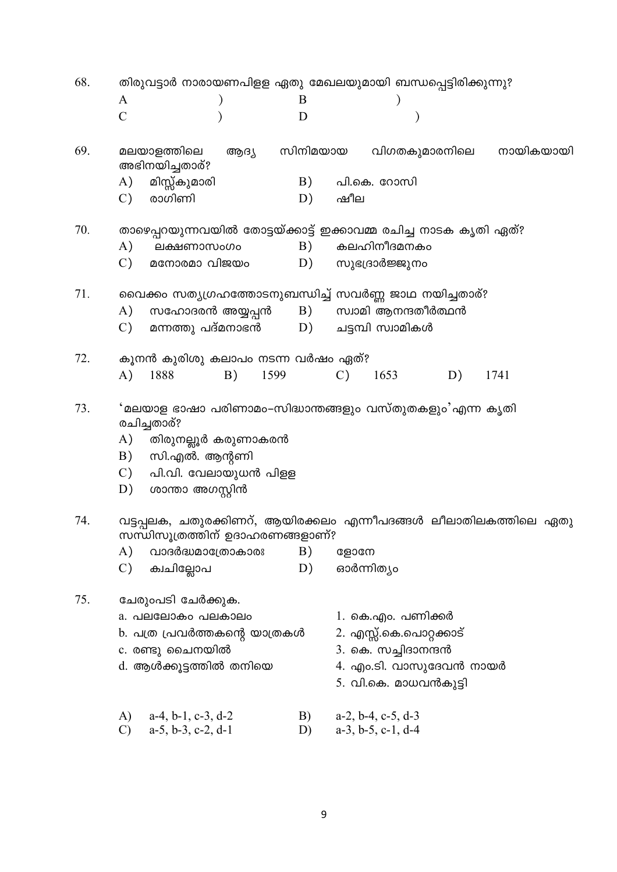68. തിരുവട്ടാർ നാരായണപിള്ള ഏതു മേഖലയുമായി ബന്ധപ്പെട്ടിരിക്കുന്നു?  $\overline{B}$  $\overline{A}$  $\lambda$  $\lambda$  $\mathcal{C}$ D  $\mathcal{E}$  $\mathcal{E}$ മലയാളത്തിലെ 69. ആദ്യ സിനിമയായ വിഗതകുമാരനിലെ നായികയായി അഭിനയിച്ചതാര്? A) മിസ്സ്കുമാരി  $B)$ പി.കെ. റോസി  $\mathcal{C}$ ) രാഗിണി  $D)$ ഷീല 70. താഴെപ്പറയുന്നവയിൽ തോട്ടയ്ക്കാട്ട് ഇക്കാവമ്മ രചിച്ച നാടക കൃതി ഏത്? കലഹിനീദമനകം  $\mathbf{A}$ )  $B)$ ലക്ഷണാസംഗം മനോരമാ വിജയം സുഭദ്രാർജ്ജുനം  $\mathcal{C}$ )  $D)$ 71. വൈക്കം സത്യഗ്രഹത്തോടനുബന്ധിച്ച് സവർണ്ണ ജാഥ നയിച്ചതാര്? സഹോദരൻ അയ്യപ്പൻ  $A)$  $B)$ സ്വാമി ആനന്ദതീർത്ഥൻ  $\mathcal{C}$ ) മന്നത്തു പദ്മനാഭൻ  $D)$ ചട്ടമ്പി സ്വാമികൾ 72. കുനൻ കുരിശു കലാപം നടന്ന വർഷം ഏത്? 1599  $\overline{A}$ ) 1888  $B)$  $\mathcal{C}$ ) 1653 1741  $D)$ 73. 'മലയാള ഭാഷാ പരിണാമം–സിദ്ധാന്തങ്ങളും വസ്തുതകളും'എന്ന കൃതി രചിച്ചതാര്?  $A)$ തിരുനല്ലൂർ കരുണാകരൻ B) സി.എൽ. ആന്റണി  $\mathcal{C}$ ) പി.വി. വേലായുധൻ പിള്ള  $D)$ ശാന്താ അഗസ്റ്റിൻ 74. വട്ടപ്പലക, ചതുരക്കിണറ്, ആയിരക്കലം എന്നീപദങ്ങൾ ലീലാതിലകത്തിലെ ഏതു സന്ധിസൂത്രത്തിന് ഉദാഹരണങ്ങളാണ്?  $A)$ വാദർദ്ധമാത്രോകാരഃ  $B)$ ളോനേ  $\mathcal{C}$ )  $D)$ ഓർന്നിത്യം ക്വചില്ലോപ 75 ചേരുംപടി ചേർക്കുക. a. പലലോകം പലകാലം 1. കെ.എം. പണിക്കർ b. പത്ര പ്രവർത്തകന്റെ യാത്രകൾ 2. എസ്സ്.കെ.പൊറ്റക്കാട് 3. കെ. സച്ചിദാനന്ദൻ c. രണ്ടു ചൈനയിൽ d. ആൾക്കൂട്ടത്തിൽ തനിയെ 4. എം.ടി. വാസുദേവൻ നായർ 5. വി.കെ. മാധവൻകുട്ടി  $a-2$ ,  $b-4$ ,  $c-5$ ,  $d-3$  $\mathbf{A}$  $a-4$ ,  $b-1$ ,  $c-3$ ,  $d-2$ B)  $\mathcal{C}$  $a-5$ ,  $b-3$ ,  $c-2$ ,  $d-1$ D)  $a-3$ ,  $b-5$ ,  $c-1$ ,  $d-4$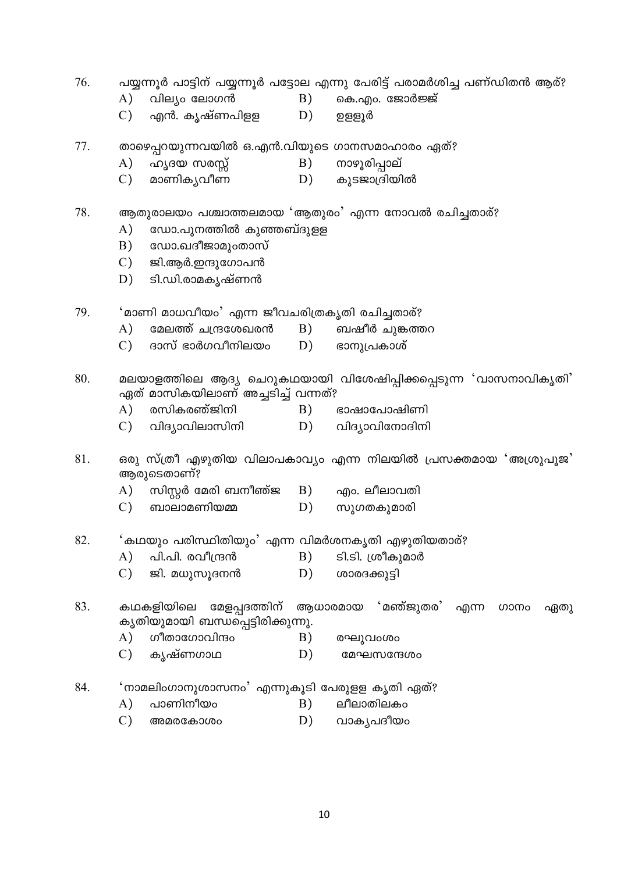- 76. പയ്യന്നൂർ പാട്ടിന് പയ്യന്നൂർ പട്ടോല എന്നു പേരിട്ട് പരാമർശിച്ച പണ്ഡിതൻ ആര്?
	- വില്യം ലോഗൻ  $(A)$
- കെ.എം. ജോർജ്ജ്  $B)$
- $\mathcal{C}$ ) എൻ. കൃഷ്ണപിളള D) ഉള്ളൂർ
- 77. താഴെപ്പറയുന്നവയിൽ ഒ.എൻ.വിയുടെ ഗാനസമാഹാരം ഏത്?
	- $A)$ ഹൃദയ സരസ്സ് B) നാഴൂരിപ്പാല്
	- $\overline{C}$ മാണികൃവീണ  $D)$ കൂടജാദ്രിയിൽ

### ആതുരാലയം പശ്ചാത്തലമായ 'ആതുരം' എന്ന നോവൽ രചിച്ചതാര്? 78.

- $A)$ ഡോ.പൂനത്തിൽ കൂഞ്ഞബ്ദുള്ള
- $B)$ ഡോ.ഖദീജാമുംതാസ്
- $\mathcal{C}$ ) ജി.ആർ.ഇന്ദുഗോപൻ
- ടി.ഡി.രാമകൃഷ്ണൻ  $D)$

 $A)$ 

- 'മാണി മാധവീയം' എന്ന ജീവചരിത്രകൃതി രചിച്ചതാര്? 79.
	- മേലത്ത് ചന്ദ്രശേഖരൻ B) ബഷീർ ചുങ്കത്തറ
	- $\mathcal{C}$ ) ദാസ് ഭാർഗവീനിലയം D) ഭാനുപ്രകാശ്
- 80. മലയാളത്തിലെ ആദ്യ ചെറുകഥയായി വിശേഷിപ്പിക്കപ്പെടുന്ന 'വാസനാവികൃതി' ഏത് മാസികയിലാണ് അച്ചടിച്ച് വന്നത്?
	- $\mathbf{A}$ രസികരഞ്ജിനി B) ഭാഷാപോഷിണി
	- $\mathcal{C}$ )  $D)$ വിദ്യാവിനോദിനി വിദ്യാവിലാസിനി
- 81. ഒരു സ്ത്രീ എഴുതിയ വിലാപകാവ്യം എന്ന നിലയിൽ പ്രസക്തമായ 'അശ്രൂപൂജ' അരുടെതാണ്?
	- സിസ്റ്റർ മേരി ബനീഞ്ജ B) എം. ലീലാവതി  $\mathbf{A}$
	- ബാലാമണിയമ്മ  $\mathcal{C}$ )  $D)$ സുഗതകുമാരി

#### 82. 'കഥയും പരിസ്ഥിതിയും' എന്ന വിമർശനകൃതി എഴുതിയതാര്?

- ടി.ടി. ശ്രീകുമാർ  $A)$ പി.പി. രവീന്ദ്രൻ  $B)$
- $\mathcal{C}$ ) ജി. മധുസുദനൻ  $D)$ ശാരദക്കുട്ടി

#### 83. കഥകളിയിലെ മേളപ്പദത്തിന് അധാരമായ 'മഞ്ജ്വതര' ൶൬ ഗാനം ഏതു കൃതിയുമായി ബന്ധപ്പെട്ടിരിക്കുന്നു.

ലീലാതിലകം

B)

- $(A)$ ഗീതാഗോവിന്ദം  $B)$ രഘുവംശം
- $\mathcal{C}$ ) കൃഷ്ണഗാഥ  $D)$ മേഘസന്ദേശം
- 84 'നാമലിംഗാനുശാസനം' എന്നുകൂടി പേരുള്ള കൃതി ഏത്?
	- $\mathbf{A}$ ) പാണിനീയം
	- $\mathcal{C}$ )  $D)$ അമരകോശം വാകൃപദീയം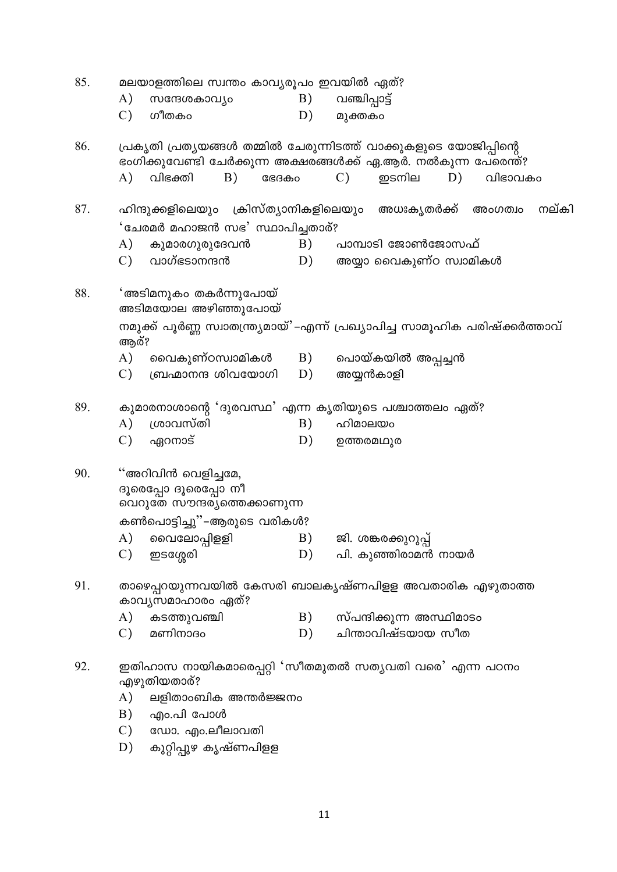| A)                                                                          |           |                                    | B)                                                                                                                                                                                                     |                                                                                                                       |       |                                                                                                                                                      |         |                                                                                                                                                                                                                                                                                                                                                                                                |
|-----------------------------------------------------------------------------|-----------|------------------------------------|--------------------------------------------------------------------------------------------------------------------------------------------------------------------------------------------------------|-----------------------------------------------------------------------------------------------------------------------|-------|------------------------------------------------------------------------------------------------------------------------------------------------------|---------|------------------------------------------------------------------------------------------------------------------------------------------------------------------------------------------------------------------------------------------------------------------------------------------------------------------------------------------------------------------------------------------------|
| $\mathcal{C}$                                                               | ഗീതകം     |                                    | D)                                                                                                                                                                                                     |                                                                                                                       |       |                                                                                                                                                      |         |                                                                                                                                                                                                                                                                                                                                                                                                |
|                                                                             |           |                                    |                                                                                                                                                                                                        |                                                                                                                       |       |                                                                                                                                                      |         |                                                                                                                                                                                                                                                                                                                                                                                                |
| $\mathbf{A}$ )                                                              | വിഭക്തി   |                                    |                                                                                                                                                                                                        | $\mathcal{C}$ )                                                                                                       | ഇടനില | D)                                                                                                                                                   | വിഭാവകം |                                                                                                                                                                                                                                                                                                                                                                                                |
|                                                                             |           |                                    |                                                                                                                                                                                                        |                                                                                                                       |       |                                                                                                                                                      | അംഗത്വം | നല്കി                                                                                                                                                                                                                                                                                                                                                                                          |
| 'ചേരമർ മഹാജൻ സഭ' സ്ഥാപിച്ചതാര്?                                             |           |                                    |                                                                                                                                                                                                        |                                                                                                                       |       |                                                                                                                                                      |         |                                                                                                                                                                                                                                                                                                                                                                                                |
| A)                                                                          |           |                                    | B)                                                                                                                                                                                                     |                                                                                                                       |       |                                                                                                                                                      |         |                                                                                                                                                                                                                                                                                                                                                                                                |
| $\mathcal{C}$ )                                                             |           |                                    | D)                                                                                                                                                                                                     |                                                                                                                       |       |                                                                                                                                                      |         |                                                                                                                                                                                                                                                                                                                                                                                                |
|                                                                             |           |                                    |                                                                                                                                                                                                        |                                                                                                                       |       |                                                                                                                                                      |         |                                                                                                                                                                                                                                                                                                                                                                                                |
| നമുക്ക് പൂർണ്ണ സ്വാതന്ത്ര്യമായ്'–എന്ന് പ്രഖ്യാപിച്ച സാമൂഹിക പരിഷ്ക്കർത്താവ് |           |                                    |                                                                                                                                                                                                        |                                                                                                                       |       |                                                                                                                                                      |         |                                                                                                                                                                                                                                                                                                                                                                                                |
| A)                                                                          |           |                                    | B)                                                                                                                                                                                                     |                                                                                                                       |       |                                                                                                                                                      |         |                                                                                                                                                                                                                                                                                                                                                                                                |
| $\mathcal{C}$ )                                                             |           |                                    | D)                                                                                                                                                                                                     |                                                                                                                       |       |                                                                                                                                                      |         |                                                                                                                                                                                                                                                                                                                                                                                                |
|                                                                             |           |                                    |                                                                                                                                                                                                        |                                                                                                                       |       |                                                                                                                                                      |         |                                                                                                                                                                                                                                                                                                                                                                                                |
| $\mathbf{A}$                                                                | ശ്രാവസ്തി |                                    | B)                                                                                                                                                                                                     |                                                                                                                       |       |                                                                                                                                                      |         |                                                                                                                                                                                                                                                                                                                                                                                                |
| $\mathcal{C}$                                                               | ഏറനാട്    |                                    | D)                                                                                                                                                                                                     |                                                                                                                       |       |                                                                                                                                                      |         |                                                                                                                                                                                                                                                                                                                                                                                                |
| "അറിവിൻ വെളിച്ചമേ,                                                          |           |                                    |                                                                                                                                                                                                        |                                                                                                                       |       |                                                                                                                                                      |         |                                                                                                                                                                                                                                                                                                                                                                                                |
| ദൂരെപ്പോ ദൂരെപ്പോ നീ                                                        |           |                                    |                                                                                                                                                                                                        |                                                                                                                       |       |                                                                                                                                                      |         |                                                                                                                                                                                                                                                                                                                                                                                                |
|                                                                             |           |                                    |                                                                                                                                                                                                        |                                                                                                                       |       |                                                                                                                                                      |         |                                                                                                                                                                                                                                                                                                                                                                                                |
|                                                                             |           |                                    |                                                                                                                                                                                                        |                                                                                                                       |       |                                                                                                                                                      |         |                                                                                                                                                                                                                                                                                                                                                                                                |
| $\mathcal{C}$                                                               | ഇടശ്ശേരി  |                                    |                                                                                                                                                                                                        |                                                                                                                       |       |                                                                                                                                                      |         |                                                                                                                                                                                                                                                                                                                                                                                                |
| താഴെപ്പറയുന്നവയിൽ കേസരി ബാലകൃഷ്ണപിളള അവതാരിക എഴുതാത്ത                       |           |                                    |                                                                                                                                                                                                        |                                                                                                                       |       |                                                                                                                                                      |         |                                                                                                                                                                                                                                                                                                                                                                                                |
|                                                                             |           |                                    |                                                                                                                                                                                                        |                                                                                                                       |       |                                                                                                                                                      |         |                                                                                                                                                                                                                                                                                                                                                                                                |
| $\mathcal{C}$                                                               | മണിനാദം   |                                    | D)                                                                                                                                                                                                     |                                                                                                                       |       |                                                                                                                                                      |         |                                                                                                                                                                                                                                                                                                                                                                                                |
| ഇതിഹാസ നായികമാരെപ്പറ്റി 'സീതമുതൽ സത്യവതി വരെ' എന്ന പഠനം                     |           |                                    |                                                                                                                                                                                                        |                                                                                                                       |       |                                                                                                                                                      |         |                                                                                                                                                                                                                                                                                                                                                                                                |
| $\mathbf{A}$                                                                |           |                                    |                                                                                                                                                                                                        |                                                                                                                       |       |                                                                                                                                                      |         |                                                                                                                                                                                                                                                                                                                                                                                                |
| B)                                                                          |           |                                    |                                                                                                                                                                                                        |                                                                                                                       |       |                                                                                                                                                      |         |                                                                                                                                                                                                                                                                                                                                                                                                |
| $\mathcal{C}$                                                               |           |                                    |                                                                                                                                                                                                        |                                                                                                                       |       |                                                                                                                                                      |         |                                                                                                                                                                                                                                                                                                                                                                                                |
| D)                                                                          |           |                                    |                                                                                                                                                                                                        |                                                                                                                       |       |                                                                                                                                                      |         |                                                                                                                                                                                                                                                                                                                                                                                                |
|                                                                             | A)        | ആര്?<br>കടത്തുവഞ്ചി<br>എഴുതിയതാര്? | സന്ദേശകാവ്യം<br>B)<br>കുമാരഗുരുദേവൻ<br>വാഗ്ഭടാനന്ദൻ<br>'അടിമനുകം തകർന്നുപോയ്<br>അടിമയോല അഴിഞ്ഞുപോയ്<br>ബ്രഹ്മാനന്ദ ശിവയോഗി<br>കാവൃസമാഹാരം ഏത്?<br>എം.പി പോൾ<br>ഡോ. എം.ലീലാവതി<br>കുറ്റിപ്പുഴ കൃഷ്ണപിളള | ഭേദകം<br>വൈകുണ്ഠസ്വാമികൾ<br>വെറുതേ സൗന്ദര്യത്തെക്കാണുന്ന<br>കൺപൊട്ടിച്ചു''–ആരുടെ വരികൾ?<br>B)<br>ലളിതാംബിക അന്തർജ്ജനം | D)    | മലയാളത്തിലെ സ്വന്തം കാവ്യരൂപം ഇവയിൽ ഏത്?<br>വഞ്ചിപ്പാട്ട്<br>മുക്തകം<br>അയ്യൻകാളി<br>ഹിമാലയം<br>ഉത്തരമഥുര<br>A) വൈലോപ്പിളളി   B) ജി. ശങ്കരക്കുറുപ്പ് |         | പ്രകൃതി പ്രതൃയങ്ങൾ തമ്മിൽ ചേരുന്നിടത്ത് വാക്കുകളുടെ യോജിപ്പിന്റെ<br>ഭംഗിക്കുവേണ്ടി ചേർക്കുന്ന അക്ഷരങ്ങൾക്ക് ഏ.ആർ. നൽകുന്ന പേരെന്ത്?<br>ഹിന്ദുക്കളിലെയും ക്രിസ്ത്യാനികളിലെയും അധഃകൃതർക്ക്<br>പാമ്പാടി ജോൺജോസഫ്<br>അയ്യാ വൈകുണ്ഠ സ്വാമികൾ<br>പൊയ്കയിൽ അപ്പച്ചൻ<br>കുമാരനാശാന്റെ 'ദുരവസ്ഥ' എന്ന കൃതിയുടെ പശ്ചാത്തലം ഏത്?<br>പി. കുഞ്ഞിരാമൻ നായർ<br>സ്പന്ദിക്കുന്ന അസ്ഥിമാടം<br>ചിന്താവിഷ്ടയായ സീത |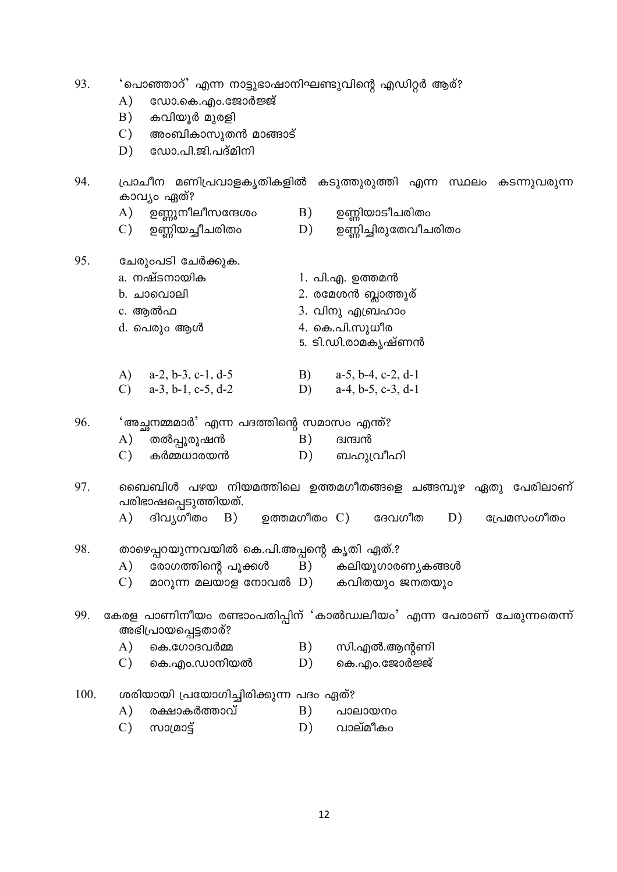| 93.  | 'പൊഞ്ഞാറ്' എന്ന നാട്ടുഭാഷാനിഘണ്ടുവിന്റെ എഡിറ്റർ ആര്?<br>ഡോ.കെ.എം.ജോർജ്ജ്<br>A)<br>കവിയൂർ മുരളി<br>B)<br>$\mathcal{C}$ )<br>അംബികാസുതൻ മാങ്ങാട്<br>ഡോ.പി.ജി.പദ്മിനി<br>D) |          |                                                                      |
|------|--------------------------------------------------------------------------------------------------------------------------------------------------------------------------|----------|----------------------------------------------------------------------|
| 94.  | കാവ്യം ഏത്?                                                                                                                                                              |          | പ്രാചീന മണിപ്രവാളകൃതികളിൽ കടുത്തുരുത്തി എന്ന സ്ഥലം കടന്നുവരുന്ന      |
|      | A)<br>ഉണ്ണുനീലീസന്ദേശം<br>ഉണ്ണിയച്ചീചരിതം<br>$\mathcal{C}$ )                                                                                                             | B)<br>D) | ഉണ്ണിയാടീചരിതം<br>ഉണ്ണിച്ചിരുതേവീചരിതം                               |
| 95.  | ചേരുംപടി ചേർക്കുക.                                                                                                                                                       |          |                                                                      |
|      | a. നഷ്ടനായിക                                                                                                                                                             |          | 1. പി.എ. ഉത്തമൻ                                                      |
|      | b. ചാവൊലി                                                                                                                                                                |          | 2. രമേശൻ ബ്ലാത്തൂര്                                                  |
|      | c. ആൽഫ                                                                                                                                                                   |          | 3. വിനു എബ്രഹാം                                                      |
|      | d. പെരും ആൾ                                                                                                                                                              |          | 4. കെ.പി.സുധീര                                                       |
|      |                                                                                                                                                                          |          | 5. ടി.ഡി.രാമകൃഷ്ണൻ                                                   |
|      | A) $a-2, b-3, c-1, d-5$                                                                                                                                                  |          | B) $a-5$ , b-4, c-2, d-1                                             |
|      | C) $a-3, b-1, c-5, d-2$                                                                                                                                                  |          | D) $a-4, b-5, c-3, d-1$                                              |
| 96.  | 'അച്ഛനമ്മമാർ' എന്ന പദത്തിന്റെ സമാസം എന്ത്?                                                                                                                               |          |                                                                      |
|      | തൽപ്പുരുഷൻ<br>A)                                                                                                                                                         | B)       | ബന്ദ്രി                                                              |
|      | $\mathcal{C}$<br>കർമ്മധാരയൻ                                                                                                                                              | D)       | ബഹുവ്രീഹി                                                            |
| 97.  | പരിഭാഷപ്പെടുത്തിയത്.                                                                                                                                                     |          | ബൈബിൾ പഴയ നിയമത്തിലെ ഉത്തമഗീതങ്ങളെ ചങ്ങമ്പുഴ ഏതു പേരിലാണ്            |
|      | A)<br>ദിവൃഗീതം B)                                                                                                                                                        |          | ഉത്തമഗീതം C) ദേവഗീത<br>D)<br>പ്രേമസംഗീതം                             |
| 98.  | താഴെപ്പറയുന്നവയിൽ കെ.പി.അപ്പന്റെ കൃതി ഏത്.?                                                                                                                              |          |                                                                      |
|      | A)<br>രോഗത്തിന്റെ പൂക്കൾ                                                                                                                                                 | B)       | കലിയുഗാരണ്യകങ്ങൾ                                                     |
|      | മാറുന്ന മലയാള നോവൽ D) കവിതയും ജനതയും<br>$\mathcal{C}$                                                                                                                    |          |                                                                      |
| 99.  | അഭിപ്രായപ്പെട്ടതാര്?                                                                                                                                                     |          | കേരള പാണിനീയം രണ്ടാംപതിപ്പിന് 'കാൽഡ്വലീയം' എന്ന പേരാണ് ചേരുന്നതെന്ന് |
|      | $\mathbf{A}$<br>കെ.ഗോദവർമ്മ                                                                                                                                              | B)       | സി.എൽ.ആന്റണി                                                         |
|      | $\mathcal{C}$<br>കെ.എം.ഡാനിയൽ                                                                                                                                            | D)       | കെ.എം.ജോർജ്ജ്                                                        |
| 100. | ശരിയായി പ്രയോഗിച്ചിരിക്കുന്ന പദം ഏത്?                                                                                                                                    |          |                                                                      |
|      | രക്ഷാകർത്താവ്<br>A)                                                                                                                                                      | B)       | പാലായനം                                                              |

 $(C)$  moraces D) വാല്മീകം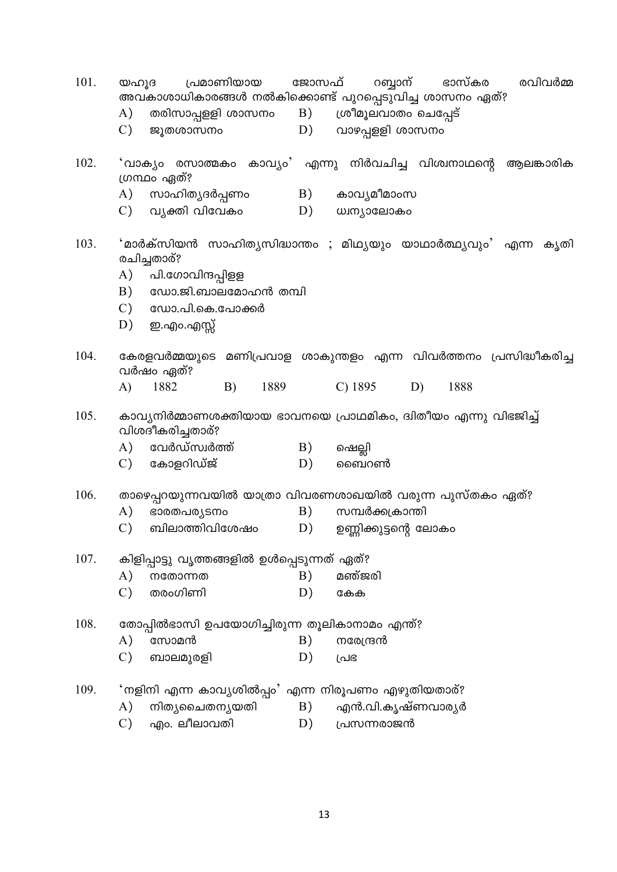| 101. | പ്രമാണിയായ<br>ജോസഫ്<br>റബ്ബാന്<br>ഭാസ്കര<br>രവിവർമ്മ<br>യഹൂദ<br>അവകാശാധികാരങ്ങൾ നൽകിക്കൊണ്ട് പുറപ്പെടുവിച്ച ശാസനം ഏത്? |  |  |  |  |  |  |
|------|------------------------------------------------------------------------------------------------------------------------|--|--|--|--|--|--|
|      | A) തരിസാപ്പളളി ശാസനം B)<br>ശ്രീമൂലവാതം ചെപ്പേട്                                                                        |  |  |  |  |  |  |
|      | $\mathcal{C}$ )<br>D) വാഴപ്പളളി ശാസനം<br>ജൂതശാസനം                                                                      |  |  |  |  |  |  |
| 102. | 'വാക്യം രസാത്മകം കാവ്യം' എന്നു നിർവചിച്ച വിശ്വനാഥന്റെ<br>ആലങ്കാരിക<br>ഗ്രന്ഥം ഏത്?                                     |  |  |  |  |  |  |
|      | A)<br>സാഹിത്യദർപ്പണം<br>B)<br>കാവ്യമീമാംസ                                                                              |  |  |  |  |  |  |
|      | $\mathcal{C}$ )<br>വ്യക്തി വിവേകം<br>D)<br>ധ്വന്യാലോകം                                                                 |  |  |  |  |  |  |
| 103. | 'മാർക്സിയൻ സാഹിതൃസിദ്ധാന്തം ; മിഥ്യയും യാഥാർത്ഥ്യവും' എന്ന കൃതി<br>രചിച്ചതാര്?                                         |  |  |  |  |  |  |
|      | A)<br>പി.ഗോവിന്ദപ്പിളള                                                                                                 |  |  |  |  |  |  |
|      | ഡോ.ജി.ബാലമോഹൻ തമ്പി<br>B)                                                                                              |  |  |  |  |  |  |
|      | $\mathcal{C}$ )<br>ഡോ.പി.കെ.പോക്കർ                                                                                     |  |  |  |  |  |  |
|      | D)<br>ഇ.എo.എസ്സ്                                                                                                       |  |  |  |  |  |  |
| 104. | കേരളവർമ്മയുടെ മണിപ്രവാള ശാകുന്തളം എന്ന വിവർത്തനം പ്രസിദ്ധീകരിച്ച<br>വർഷം ഏത്?                                          |  |  |  |  |  |  |
|      | 1882<br>A)<br>B)<br>1889<br>$C)$ 1895<br>1888<br>D)                                                                    |  |  |  |  |  |  |
| 105. | കാവ്യനിർമ്മാണശക്തിയായ ഭാവനയെ പ്രാഥമികം, ദ്വിതീയം എന്നു വിഭജിച്ച്<br>വിശദീകരിച്ചതാര്?                                   |  |  |  |  |  |  |
|      | വേർഡ്സ്വർത്ത്<br>A)<br>B)<br>ഷെല്ലി                                                                                    |  |  |  |  |  |  |
|      | $\mathcal{C}$ )<br>കോളറിഡ്ജ്<br>D)<br>ബൈറൺ                                                                             |  |  |  |  |  |  |
| 106. | താഴെപ്പറയുന്നവയിൽ യാത്രാ വിവരണശാഖയിൽ വരുന്ന പുസ്തകം ഏത്?                                                               |  |  |  |  |  |  |
|      | $\mathbf{A}$<br>B)<br>സമ്പർക്കക്രാന്തി<br>ഭാരതപര്യടനം                                                                  |  |  |  |  |  |  |
|      | ബിലാത്തിവിശേഷം<br>$\mathcal{C}$<br>D)<br>ഉണ്ണിക്കുട്ടന്റെ ലോകം                                                         |  |  |  |  |  |  |
| 107. | കിളിപ്പാട്ടു വൃത്തങ്ങളിൽ ഉൾപ്പെടുന്നത് ഏത്?                                                                            |  |  |  |  |  |  |
|      | B)<br>മഞ്ജരി<br>A)<br>നതോന്നത                                                                                          |  |  |  |  |  |  |
|      | $\mathcal{C}$ )<br>തരംഗിണി<br>D)<br>കേക                                                                                |  |  |  |  |  |  |
| 108. | തോപ്പിൽഭാസി ഉപയോഗിച്ചിരുന്ന തൂലികാനാമം എന്ത്?                                                                          |  |  |  |  |  |  |
|      | $\mathbf{A}$<br>B)<br>സോമൻ<br>നരേന്ദ്രൻ                                                                                |  |  |  |  |  |  |
|      | $\mathcal{C}$<br>D)<br>ബാലമുരളി<br>പ്രഭ                                                                                |  |  |  |  |  |  |
| 109. | 'നളിനി എന്ന കാവ്യശിൽപ്പം' എന്ന നിരൂപണം എഴുതിയതാര്?                                                                     |  |  |  |  |  |  |
|      | B)<br>എൻ.വി.കൃഷ്ണവാരൃർ<br>നിത്യചൈതന്യയതി<br>A)                                                                         |  |  |  |  |  |  |
|      | എം. ലീലാവതി<br>$\mathcal{C}$<br>D)<br>പ്രസന്നരാജൻ                                                                      |  |  |  |  |  |  |
|      |                                                                                                                        |  |  |  |  |  |  |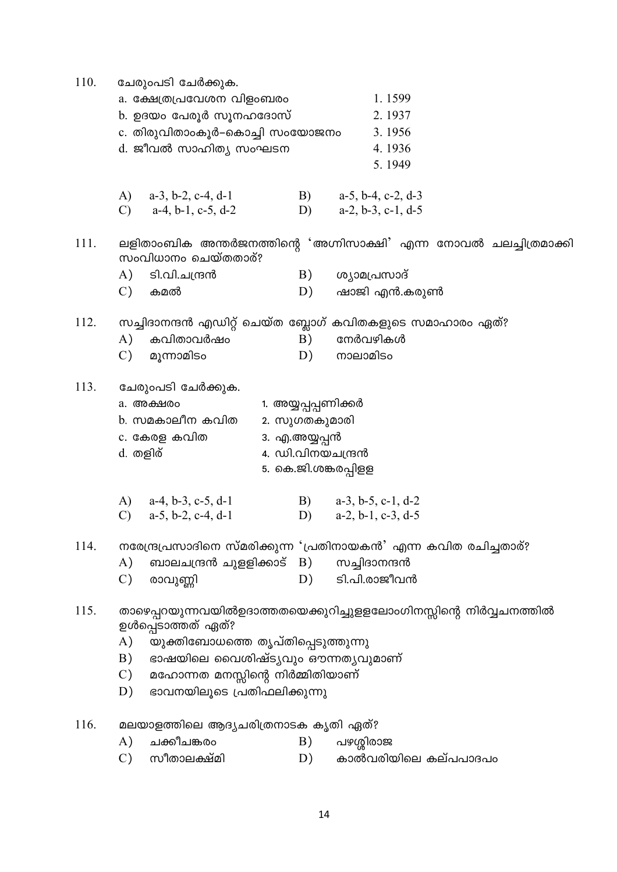| 1.1599<br>a. ക്ഷേത്രപ്രവേശന വിളംബരം<br>b. ഉദയം പേരൂർ സൂനഹദോസ്<br>2.1937<br>c. തിരുവിതാംകൂർ–കൊച്ചി സംയോജനം<br>3.1956<br>d. ജീവൽ സാഹിത്യ സംഘടന<br>4.1936<br>5.1949<br>B)<br>A) $a-3$ , b-2, c-4, d-1<br>$a-5$ , $b-4$ , $c-2$ , $d-3$<br>$a-4, b-1, c-5, d-2$<br>$a-2, b-3, c-1, d-5$<br>$\mathcal{C}$<br>D)<br>ലളിതാംബിക അന്തർജനത്തിന്റെ 'അഗ്നിസാക്ഷി' എന്ന നോവൽ ചലച്ചിത്രമാക്കി<br>111.<br>സംവിധാനം ചെയ്തതാര്?<br>A) ടി.വി.ചന്ദ്രൻ<br>B)<br>ശ്യാമപ്രസാദ്<br>$\mathcal{C}$ )<br>ഷാജി എൻ.കരുൺ<br>കമൽ<br>D)<br>സച്ചിദാനന്ദൻ എഡിറ്റ് ചെയ്ത ബ്ലോഗ് കവിതകളുടെ സമാഹാരം ഏത്?<br>112.<br>നേർവഴികൾ<br>കവിതാവർഷം<br>A)<br>B)<br>$\mathcal{C}$<br>മൂന്നാമിടം<br>നാലാമിടം<br>D)<br>113.<br>ചേരുംപടി ചേർക്കുക.<br>1. അയ്യപ്പപ്പണിക്കർ<br>a. അക്ഷരം<br>b. സമകാലീന കവിത<br>2. സുഗതകുമാരി<br>c. കേരള കവിത<br>3. എ.അയ്യപ്പൻ<br>4. ഡി.വിനയചന്ദ്രൻ<br>d. തളിര്<br>5. കെ.ജി.ശങ്കരപ്പിളള<br>B) $a-3, b-5, c-1, d-2$<br>A) $a-4, b-3, c-5, d-1$<br>$\mathcal{C}$<br>$a-5$ , b-2, c-4, d-1<br>$a-2$ , $b-1$ , $c-3$ , $d-5$<br>D)<br>നരേന്ദ്രപ്രസാദിനെ സ്മരിക്കുന്ന 'പ്രതിനായകൻ' എന്ന കവിത രചിച്ചതാര്?<br>114.<br>ബാലചന്ദ്രൻ ചുളളിക്കാട് B) സച്ചിദാനന്ദൻ<br>$\mathbf{A}$<br>ടി.പി.രാജീവൻ<br>$\mathcal{C}$<br>D)<br>രാവുണ്ണി<br>താഴെപ്പറയുന്നവയിൽഉദാത്തതയെക്കുറിച്ചുളളലോംഗിനസ്സിന്റെ നിർവ്വചനത്തിൽ<br>115.<br>ഉൾപ്പെടാത്തത് ഏത്?<br>A)<br>യുക്തിബോധത്തെ തൃപ്തിപ്പെടുത്തുന്നു<br>ഭാഷയിലെ വൈശിഷ്ട്യവും ഔന്നതൃവുമാണ്<br>B)<br>മഹോന്നത മനസ്സിന്റെ നിർമ്മിതിയാണ്<br>$\mathcal{C}$<br>ഭാവനയിലൂടെ പ്രതിഫലിക്കുന്നു<br>D)<br>116.<br>മലയാളത്തിലെ ആദ്യചരിത്രനാടക കൃതി ഏത്?<br>ചക്കീചങ്കരം<br>$\mathbf{A}$<br>പഴശ്ശിരാജ<br>B) | 110. | ചേരുംപടി ചേർക്കുക.           |    |                      |  |  |  |  |
|--------------------------------------------------------------------------------------------------------------------------------------------------------------------------------------------------------------------------------------------------------------------------------------------------------------------------------------------------------------------------------------------------------------------------------------------------------------------------------------------------------------------------------------------------------------------------------------------------------------------------------------------------------------------------------------------------------------------------------------------------------------------------------------------------------------------------------------------------------------------------------------------------------------------------------------------------------------------------------------------------------------------------------------------------------------------------------------------------------------------------------------------------------------------------------------------------------------------------------------------------------------------------------------------------------------------------------------------------------------------------------------------------------------------------------------------------------------------------------------------------------------------------------------------------------------------------------------------|------|------------------------------|----|----------------------|--|--|--|--|
|                                                                                                                                                                                                                                                                                                                                                                                                                                                                                                                                                                                                                                                                                                                                                                                                                                                                                                                                                                                                                                                                                                                                                                                                                                                                                                                                                                                                                                                                                                                                                                                            |      |                              |    |                      |  |  |  |  |
|                                                                                                                                                                                                                                                                                                                                                                                                                                                                                                                                                                                                                                                                                                                                                                                                                                                                                                                                                                                                                                                                                                                                                                                                                                                                                                                                                                                                                                                                                                                                                                                            |      |                              |    |                      |  |  |  |  |
|                                                                                                                                                                                                                                                                                                                                                                                                                                                                                                                                                                                                                                                                                                                                                                                                                                                                                                                                                                                                                                                                                                                                                                                                                                                                                                                                                                                                                                                                                                                                                                                            |      |                              |    |                      |  |  |  |  |
|                                                                                                                                                                                                                                                                                                                                                                                                                                                                                                                                                                                                                                                                                                                                                                                                                                                                                                                                                                                                                                                                                                                                                                                                                                                                                                                                                                                                                                                                                                                                                                                            |      |                              |    |                      |  |  |  |  |
|                                                                                                                                                                                                                                                                                                                                                                                                                                                                                                                                                                                                                                                                                                                                                                                                                                                                                                                                                                                                                                                                                                                                                                                                                                                                                                                                                                                                                                                                                                                                                                                            |      |                              |    |                      |  |  |  |  |
|                                                                                                                                                                                                                                                                                                                                                                                                                                                                                                                                                                                                                                                                                                                                                                                                                                                                                                                                                                                                                                                                                                                                                                                                                                                                                                                                                                                                                                                                                                                                                                                            |      |                              |    |                      |  |  |  |  |
|                                                                                                                                                                                                                                                                                                                                                                                                                                                                                                                                                                                                                                                                                                                                                                                                                                                                                                                                                                                                                                                                                                                                                                                                                                                                                                                                                                                                                                                                                                                                                                                            |      |                              |    |                      |  |  |  |  |
|                                                                                                                                                                                                                                                                                                                                                                                                                                                                                                                                                                                                                                                                                                                                                                                                                                                                                                                                                                                                                                                                                                                                                                                                                                                                                                                                                                                                                                                                                                                                                                                            |      |                              |    |                      |  |  |  |  |
|                                                                                                                                                                                                                                                                                                                                                                                                                                                                                                                                                                                                                                                                                                                                                                                                                                                                                                                                                                                                                                                                                                                                                                                                                                                                                                                                                                                                                                                                                                                                                                                            |      |                              |    |                      |  |  |  |  |
|                                                                                                                                                                                                                                                                                                                                                                                                                                                                                                                                                                                                                                                                                                                                                                                                                                                                                                                                                                                                                                                                                                                                                                                                                                                                                                                                                                                                                                                                                                                                                                                            |      |                              |    |                      |  |  |  |  |
|                                                                                                                                                                                                                                                                                                                                                                                                                                                                                                                                                                                                                                                                                                                                                                                                                                                                                                                                                                                                                                                                                                                                                                                                                                                                                                                                                                                                                                                                                                                                                                                            |      |                              |    |                      |  |  |  |  |
|                                                                                                                                                                                                                                                                                                                                                                                                                                                                                                                                                                                                                                                                                                                                                                                                                                                                                                                                                                                                                                                                                                                                                                                                                                                                                                                                                                                                                                                                                                                                                                                            |      |                              |    |                      |  |  |  |  |
|                                                                                                                                                                                                                                                                                                                                                                                                                                                                                                                                                                                                                                                                                                                                                                                                                                                                                                                                                                                                                                                                                                                                                                                                                                                                                                                                                                                                                                                                                                                                                                                            |      |                              |    |                      |  |  |  |  |
|                                                                                                                                                                                                                                                                                                                                                                                                                                                                                                                                                                                                                                                                                                                                                                                                                                                                                                                                                                                                                                                                                                                                                                                                                                                                                                                                                                                                                                                                                                                                                                                            |      |                              |    |                      |  |  |  |  |
|                                                                                                                                                                                                                                                                                                                                                                                                                                                                                                                                                                                                                                                                                                                                                                                                                                                                                                                                                                                                                                                                                                                                                                                                                                                                                                                                                                                                                                                                                                                                                                                            |      |                              |    |                      |  |  |  |  |
|                                                                                                                                                                                                                                                                                                                                                                                                                                                                                                                                                                                                                                                                                                                                                                                                                                                                                                                                                                                                                                                                                                                                                                                                                                                                                                                                                                                                                                                                                                                                                                                            |      |                              |    |                      |  |  |  |  |
|                                                                                                                                                                                                                                                                                                                                                                                                                                                                                                                                                                                                                                                                                                                                                                                                                                                                                                                                                                                                                                                                                                                                                                                                                                                                                                                                                                                                                                                                                                                                                                                            |      |                              |    |                      |  |  |  |  |
|                                                                                                                                                                                                                                                                                                                                                                                                                                                                                                                                                                                                                                                                                                                                                                                                                                                                                                                                                                                                                                                                                                                                                                                                                                                                                                                                                                                                                                                                                                                                                                                            |      |                              |    |                      |  |  |  |  |
|                                                                                                                                                                                                                                                                                                                                                                                                                                                                                                                                                                                                                                                                                                                                                                                                                                                                                                                                                                                                                                                                                                                                                                                                                                                                                                                                                                                                                                                                                                                                                                                            |      |                              |    |                      |  |  |  |  |
|                                                                                                                                                                                                                                                                                                                                                                                                                                                                                                                                                                                                                                                                                                                                                                                                                                                                                                                                                                                                                                                                                                                                                                                                                                                                                                                                                                                                                                                                                                                                                                                            |      |                              |    |                      |  |  |  |  |
|                                                                                                                                                                                                                                                                                                                                                                                                                                                                                                                                                                                                                                                                                                                                                                                                                                                                                                                                                                                                                                                                                                                                                                                                                                                                                                                                                                                                                                                                                                                                                                                            |      |                              |    |                      |  |  |  |  |
|                                                                                                                                                                                                                                                                                                                                                                                                                                                                                                                                                                                                                                                                                                                                                                                                                                                                                                                                                                                                                                                                                                                                                                                                                                                                                                                                                                                                                                                                                                                                                                                            |      |                              |    |                      |  |  |  |  |
|                                                                                                                                                                                                                                                                                                                                                                                                                                                                                                                                                                                                                                                                                                                                                                                                                                                                                                                                                                                                                                                                                                                                                                                                                                                                                                                                                                                                                                                                                                                                                                                            |      |                              |    |                      |  |  |  |  |
|                                                                                                                                                                                                                                                                                                                                                                                                                                                                                                                                                                                                                                                                                                                                                                                                                                                                                                                                                                                                                                                                                                                                                                                                                                                                                                                                                                                                                                                                                                                                                                                            |      |                              |    |                      |  |  |  |  |
|                                                                                                                                                                                                                                                                                                                                                                                                                                                                                                                                                                                                                                                                                                                                                                                                                                                                                                                                                                                                                                                                                                                                                                                                                                                                                                                                                                                                                                                                                                                                                                                            |      |                              |    |                      |  |  |  |  |
|                                                                                                                                                                                                                                                                                                                                                                                                                                                                                                                                                                                                                                                                                                                                                                                                                                                                                                                                                                                                                                                                                                                                                                                                                                                                                                                                                                                                                                                                                                                                                                                            |      |                              |    |                      |  |  |  |  |
|                                                                                                                                                                                                                                                                                                                                                                                                                                                                                                                                                                                                                                                                                                                                                                                                                                                                                                                                                                                                                                                                                                                                                                                                                                                                                                                                                                                                                                                                                                                                                                                            |      |                              |    |                      |  |  |  |  |
|                                                                                                                                                                                                                                                                                                                                                                                                                                                                                                                                                                                                                                                                                                                                                                                                                                                                                                                                                                                                                                                                                                                                                                                                                                                                                                                                                                                                                                                                                                                                                                                            |      |                              |    |                      |  |  |  |  |
|                                                                                                                                                                                                                                                                                                                                                                                                                                                                                                                                                                                                                                                                                                                                                                                                                                                                                                                                                                                                                                                                                                                                                                                                                                                                                                                                                                                                                                                                                                                                                                                            |      |                              |    |                      |  |  |  |  |
|                                                                                                                                                                                                                                                                                                                                                                                                                                                                                                                                                                                                                                                                                                                                                                                                                                                                                                                                                                                                                                                                                                                                                                                                                                                                                                                                                                                                                                                                                                                                                                                            |      |                              |    |                      |  |  |  |  |
|                                                                                                                                                                                                                                                                                                                                                                                                                                                                                                                                                                                                                                                                                                                                                                                                                                                                                                                                                                                                                                                                                                                                                                                                                                                                                                                                                                                                                                                                                                                                                                                            |      |                              |    |                      |  |  |  |  |
|                                                                                                                                                                                                                                                                                                                                                                                                                                                                                                                                                                                                                                                                                                                                                                                                                                                                                                                                                                                                                                                                                                                                                                                                                                                                                                                                                                                                                                                                                                                                                                                            |      |                              |    |                      |  |  |  |  |
|                                                                                                                                                                                                                                                                                                                                                                                                                                                                                                                                                                                                                                                                                                                                                                                                                                                                                                                                                                                                                                                                                                                                                                                                                                                                                                                                                                                                                                                                                                                                                                                            |      |                              |    |                      |  |  |  |  |
|                                                                                                                                                                                                                                                                                                                                                                                                                                                                                                                                                                                                                                                                                                                                                                                                                                                                                                                                                                                                                                                                                                                                                                                                                                                                                                                                                                                                                                                                                                                                                                                            |      |                              |    |                      |  |  |  |  |
|                                                                                                                                                                                                                                                                                                                                                                                                                                                                                                                                                                                                                                                                                                                                                                                                                                                                                                                                                                                                                                                                                                                                                                                                                                                                                                                                                                                                                                                                                                                                                                                            |      | $\mathcal{C}$<br>സീതാലക്ഷ്മി | D) | കാൽവരിയിലെ കല്പപാദപം |  |  |  |  |